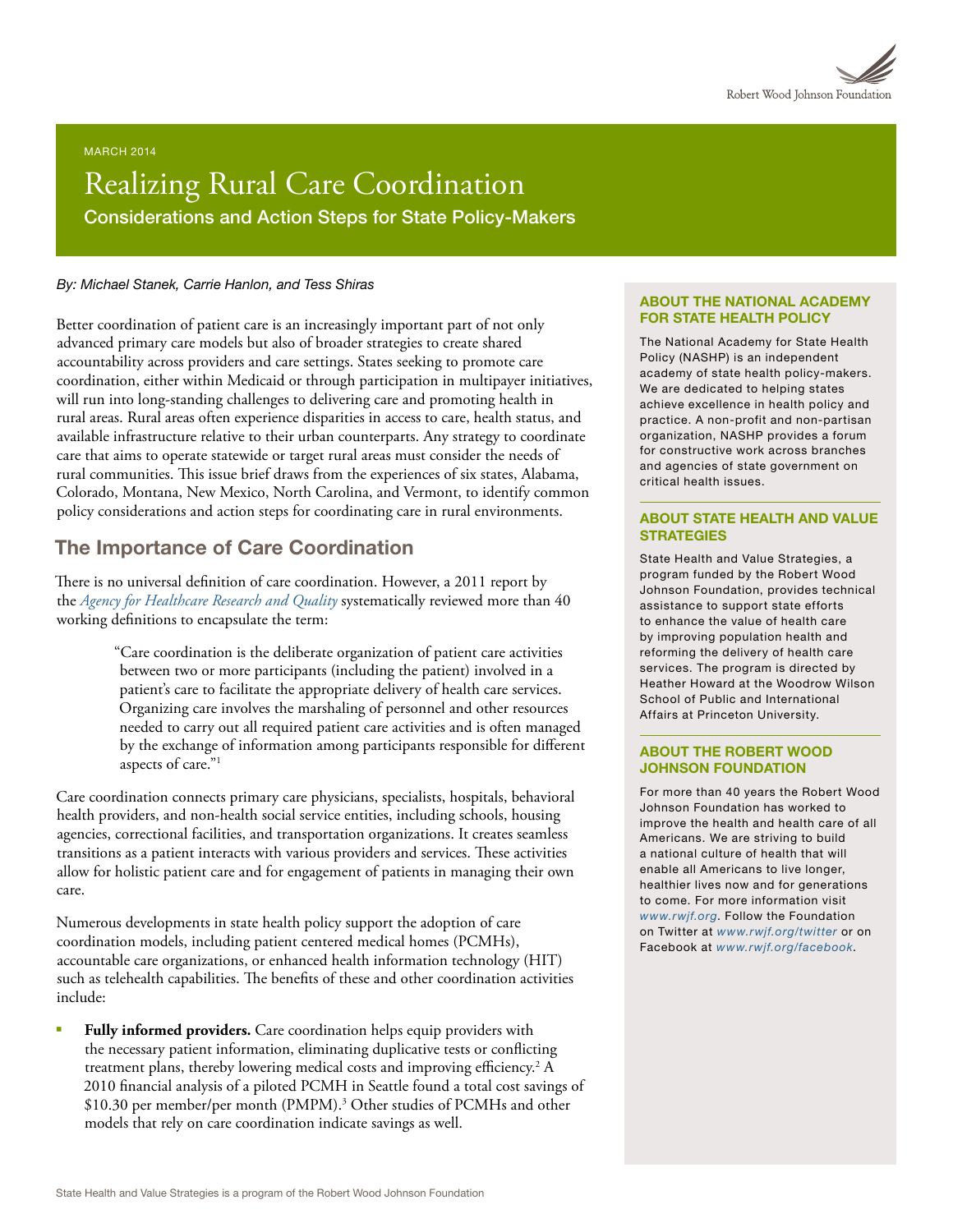

#### MARCH 2014

# Realizing Rural Care Coordination Considerations and Action Steps for State Policy-Makers

#### *By: Michael Stanek, Carrie Hanlon, and Tess Shiras*

Better coordination of patient care is an increasingly important part of not only advanced primary care models but also of broader strategies to create shared accountability across providers and care settings. States seeking to promote care coordination, either within Medicaid or through participation in multipayer initiatives, will run into long-standing challenges to delivering care and promoting health in rural areas. Rural areas often experience disparities in access to care, health status, and available infrastructure relative to their urban counterparts. Any strategy to coordinate care that aims to operate statewide or target rural areas must consider the needs of rural communities. This issue brief draws from the experiences of six states, Alabama, Colorado, Montana, New Mexico, North Carolina, and Vermont, to identify common policy considerations and action steps for coordinating care in rural environments.

### The Importance of Care Coordination

There is no universal definition of care coordination. However, a 2011 report by the *[Agency for Healthcare Research and Quality](http://www.ahrq.gov/)* systematically reviewed more than 40 working definitions to encapsulate the term:

> "Care coordination is the deliberate organization of patient care activities between two or more participants (including the patient) involved in a patient's care to facilitate the appropriate delivery of health care services. Organizing care involves the marshaling of personnel and other resources needed to carry out all required patient care activities and is often managed by the exchange of information among participants responsible for different aspects of care."1

Care coordination connects primary care physicians, specialists, hospitals, behavioral health providers, and non-health social service entities, including schools, housing agencies, correctional facilities, and transportation organizations. It creates seamless transitions as a patient interacts with various providers and services. These activities allow for holistic patient care and for engagement of patients in managing their own care.

Numerous developments in state health policy support the adoption of care coordination models, including patient centered medical homes (PCMHs), accountable care organizations, or enhanced health information technology (HIT) such as telehealth capabilities. The benefits of these and other coordination activities include:

Fully informed providers. Care coordination helps equip providers with the necessary patient information, eliminating duplicative tests or conflicting treatment plans, thereby lowering medical costs and improving efficiency.<sup>2</sup> A 2010 financial analysis of a piloted PCMH in Seattle found a total cost savings of \$10.30 per member/per month (PMPM).<sup>3</sup> Other studies of PCMHs and other models that rely on care coordination indicate savings as well.

#### ABOUT THE NATIONAL ACADEMY FOR STATE HEALTH POLICY

The National Academy for State Health Policy (NASHP) is an independent academy of state health policy-makers. We are dedicated to helping states achieve excellence in health policy and practice. A non-profit and non-partisan organization, NASHP provides a forum for constructive work across branches and agencies of state government on critical health issues.

#### ABOUT STATE HEALTH AND VALUE **STRATEGIES**

State Health and Value Strategies, a program funded by the Robert Wood Johnson Foundation, provides technical assistance to support state efforts to enhance the value of health care by improving population health and reforming the delivery of health care services. The program is directed by Heather Howard at the Woodrow Wilson School of Public and International Affairs at Princeton University.

#### ABOUT THE ROBERT WOOD JOHNSON FOUNDATION

For more than 40 years the Robert Wood Johnson Foundation has worked to improve the health and health care of all Americans. We are striving to build a national culture of health that will enable all Americans to live longer, healthier lives now and for generations to come. For more information visit *[www.rwjf.org](http://www.rwjf.org/)*. Follow the Foundation on Twitter at *[www.rwjf.org/twitter](http://www.rwjf.org/twitter)* or on Facebook at *[www.rwjf.org/facebook](http://www.rwjf.org/facebook)*.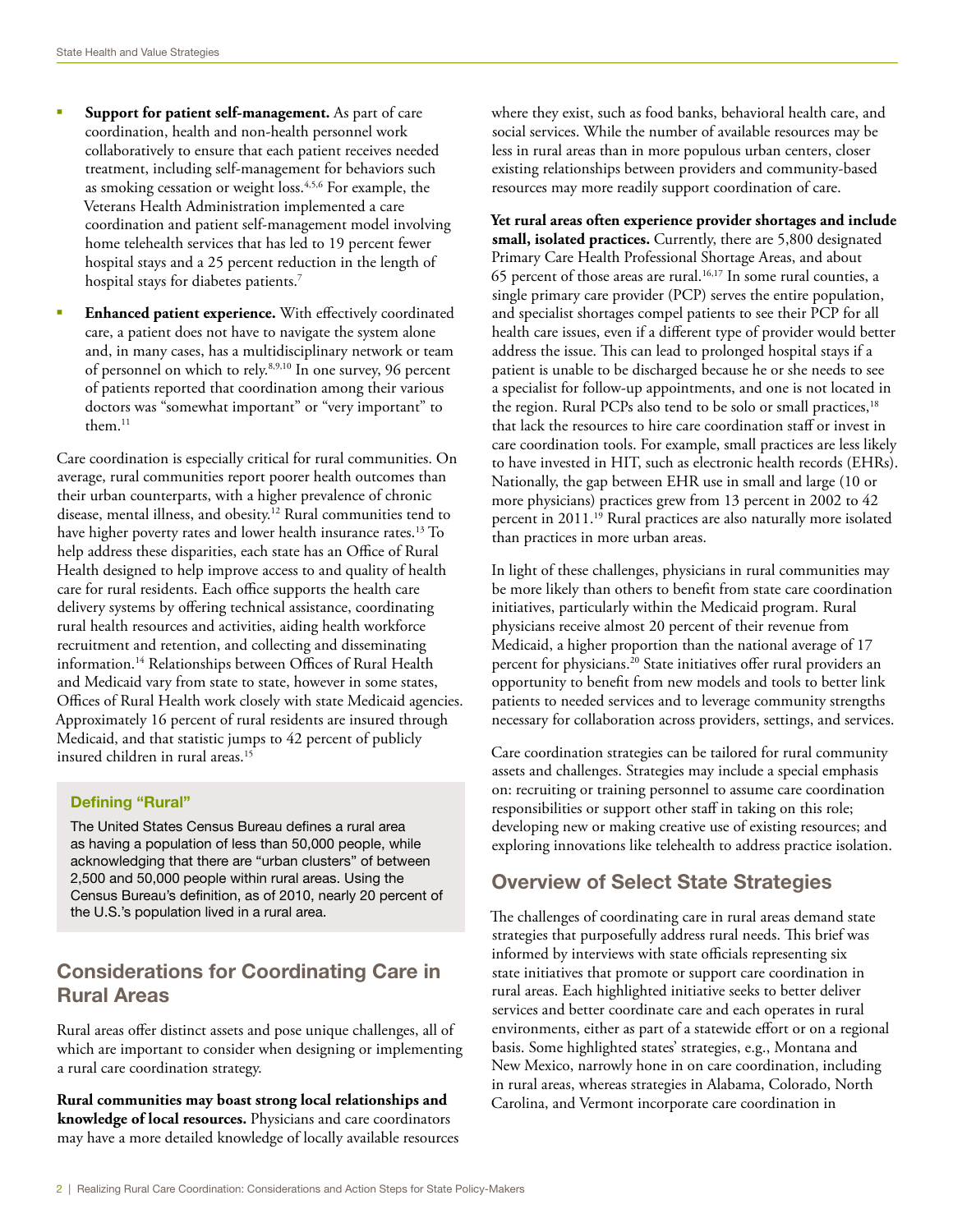- § **Support for patient self-management.** As part of care coordination, health and non-health personnel work collaboratively to ensure that each patient receives needed treatment, including self-management for behaviors such as smoking cessation or weight loss.4,5,6 For example, the Veterans Health Administration implemented a care coordination and patient self-management model involving home telehealth services that has led to 19 percent fewer hospital stays and a 25 percent reduction in the length of hospital stays for diabetes patients.<sup>7</sup>
- § **Enhanced patient experience.** With effectively coordinated care, a patient does not have to navigate the system alone and, in many cases, has a multidisciplinary network or team of personnel on which to rely.8,9,10 In one survey, 96 percent of patients reported that coordination among their various doctors was "somewhat important" or "very important" to them.<sup>11</sup>

Care coordination is especially critical for rural communities. On average, rural communities report poorer health outcomes than their urban counterparts, with a higher prevalence of chronic disease, mental illness, and obesity.<sup>12</sup> Rural communities tend to have higher poverty rates and lower health insurance rates.<sup>13</sup> To help address these disparities, each state has an Office of Rural Health designed to help improve access to and quality of health care for rural residents. Each office supports the health care delivery systems by offering technical assistance, coordinating rural health resources and activities, aiding health workforce recruitment and retention, and collecting and disseminating information.14 Relationships between Offices of Rural Health and Medicaid vary from state to state, however in some states, Offices of Rural Health work closely with state Medicaid agencies. Approximately 16 percent of rural residents are insured through Medicaid, and that statistic jumps to 42 percent of publicly insured children in rural areas.15

### Defining "Rural"

The United States Census Bureau defines a rural area as having a population of less than 50,000 people, while acknowledging that there are "urban clusters" of between 2,500 and 50,000 people within rural areas. Using the Census Bureau's definition, as of 2010, nearly 20 percent of the U.S.'s population lived in a rural area.

## Considerations for Coordinating Care in Rural Areas

Rural areas offer distinct assets and pose unique challenges, all of which are important to consider when designing or implementing a rural care coordination strategy.

**Rural communities may boast strong local relationships and knowledge of local resources.** Physicians and care coordinators may have a more detailed knowledge of locally available resources where they exist, such as food banks, behavioral health care, and social services. While the number of available resources may be less in rural areas than in more populous urban centers, closer existing relationships between providers and community-based resources may more readily support coordination of care.

**Yet rural areas often experience provider shortages and include small, isolated practices.** Currently, there are 5,800 designated Primary Care Health Professional Shortage Areas, and about 65 percent of those areas are rural.<sup>16,17</sup> In some rural counties, a single primary care provider (PCP) serves the entire population, and specialist shortages compel patients to see their PCP for all health care issues, even if a different type of provider would better address the issue. This can lead to prolonged hospital stays if a patient is unable to be discharged because he or she needs to see a specialist for follow-up appointments, and one is not located in the region. Rural PCPs also tend to be solo or small practices,<sup>18</sup> that lack the resources to hire care coordination staff or invest in care coordination tools. For example, small practices are less likely to have invested in HIT, such as electronic health records (EHRs). Nationally, the gap between EHR use in small and large (10 or more physicians) practices grew from 13 percent in 2002 to 42 percent in 2011.19 Rural practices are also naturally more isolated than practices in more urban areas.

In light of these challenges, physicians in rural communities may be more likely than others to benefit from state care coordination initiatives, particularly within the Medicaid program. Rural physicians receive almost 20 percent of their revenue from Medicaid, a higher proportion than the national average of 17 percent for physicians.20 State initiatives offer rural providers an opportunity to benefit from new models and tools to better link patients to needed services and to leverage community strengths necessary for collaboration across providers, settings, and services.

Care coordination strategies can be tailored for rural community assets and challenges. Strategies may include a special emphasis on: recruiting or training personnel to assume care coordination responsibilities or support other staff in taking on this role; developing new or making creative use of existing resources; and exploring innovations like telehealth to address practice isolation.

## Overview of Select State Strategies

The challenges of coordinating care in rural areas demand state strategies that purposefully address rural needs. This brief was informed by interviews with state officials representing six state initiatives that promote or support care coordination in rural areas. Each highlighted initiative seeks to better deliver services and better coordinate care and each operates in rural environments, either as part of a statewide effort or on a regional basis. Some highlighted states' strategies, e.g., Montana and New Mexico, narrowly hone in on care coordination, including in rural areas, whereas strategies in Alabama, Colorado, North Carolina, and Vermont incorporate care coordination in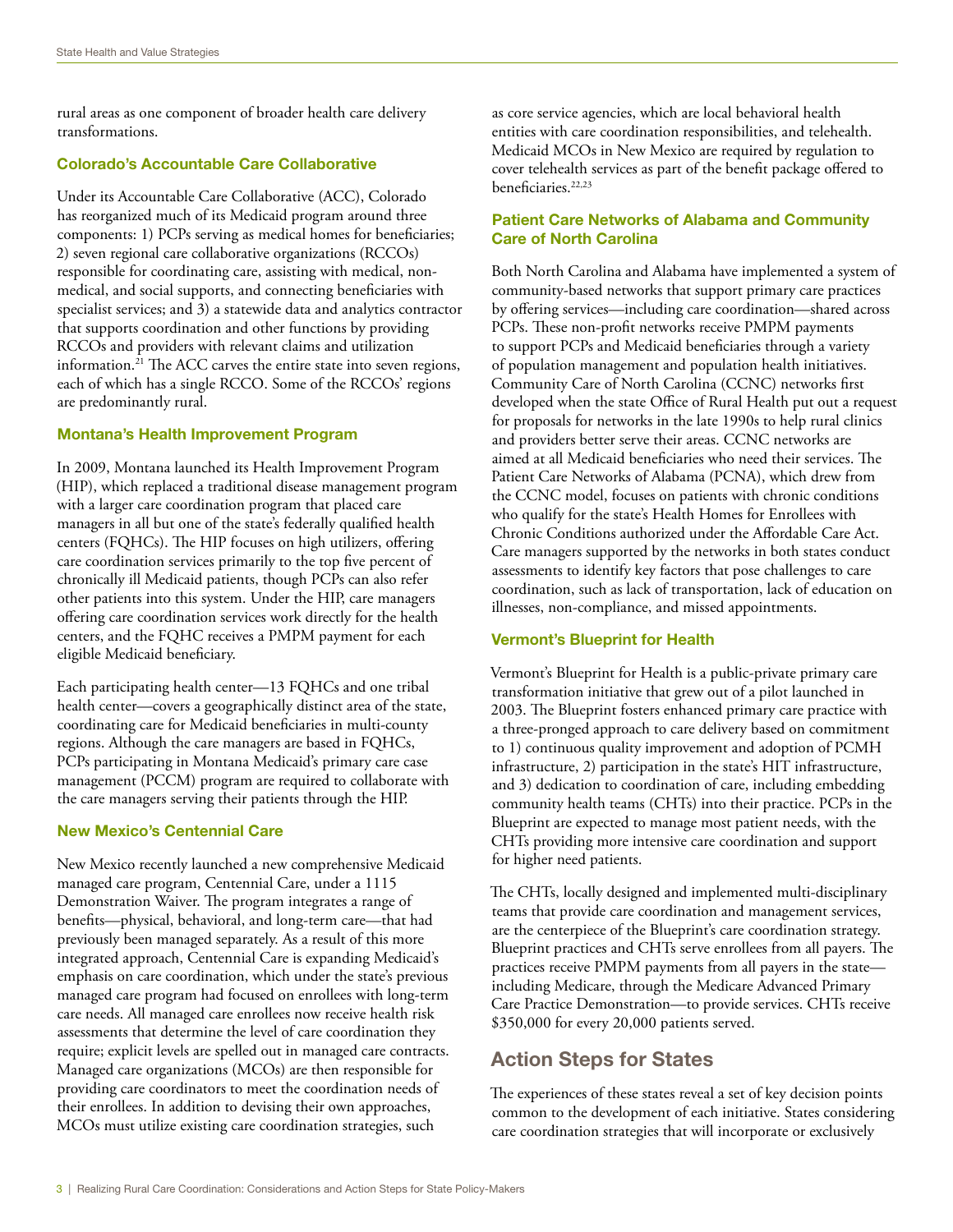rural areas as one component of broader health care delivery transformations.

#### Colorado's Accountable Care Collaborative

Under its Accountable Care Collaborative (ACC), Colorado has reorganized much of its Medicaid program around three components: 1) PCPs serving as medical homes for beneficiaries; 2) seven regional care collaborative organizations (RCCOs) responsible for coordinating care, assisting with medical, nonmedical, and social supports, and connecting beneficiaries with specialist services; and 3) a statewide data and analytics contractor that supports coordination and other functions by providing RCCOs and providers with relevant claims and utilization information.21 The ACC carves the entire state into seven regions, each of which has a single RCCO. Some of the RCCOs' regions are predominantly rural.

#### Montana's Health Improvement Program

In 2009, Montana launched its Health Improvement Program (HIP), which replaced a traditional disease management program with a larger care coordination program that placed care managers in all but one of the state's federally qualified health centers (FQHCs). The HIP focuses on high utilizers, offering care coordination services primarily to the top five percent of chronically ill Medicaid patients, though PCPs can also refer other patients into this system. Under the HIP, care managers offering care coordination services work directly for the health centers, and the FQHC receives a PMPM payment for each eligible Medicaid beneficiary.

Each participating health center—13 FQHCs and one tribal health center—covers a geographically distinct area of the state, coordinating care for Medicaid beneficiaries in multi-county regions. Although the care managers are based in FQHCs, PCPs participating in Montana Medicaid's primary care case management (PCCM) program are required to collaborate with the care managers serving their patients through the HIP.

#### New Mexico's Centennial Care

New Mexico recently launched a new comprehensive Medicaid managed care program, Centennial Care, under a 1115 Demonstration Waiver. The program integrates a range of benefits—physical, behavioral, and long-term care—that had previously been managed separately. As a result of this more integrated approach, Centennial Care is expanding Medicaid's emphasis on care coordination, which under the state's previous managed care program had focused on enrollees with long-term care needs. All managed care enrollees now receive health risk assessments that determine the level of care coordination they require; explicit levels are spelled out in managed care contracts. Managed care organizations (MCOs) are then responsible for providing care coordinators to meet the coordination needs of their enrollees. In addition to devising their own approaches, MCOs must utilize existing care coordination strategies, such

as core service agencies, which are local behavioral health entities with care coordination responsibilities, and telehealth. Medicaid MCOs in New Mexico are required by regulation to cover telehealth services as part of the benefit package offered to beneficiaries.<sup>22,23</sup>

#### Patient Care Networks of Alabama and Community Care of North Carolina

Both North Carolina and Alabama have implemented a system of community-based networks that support primary care practices by offering services—including care coordination—shared across PCPs. These non-profit networks receive PMPM payments to support PCPs and Medicaid beneficiaries through a variety of population management and population health initiatives. Community Care of North Carolina (CCNC) networks first developed when the state Office of Rural Health put out a request for proposals for networks in the late 1990s to help rural clinics and providers better serve their areas. CCNC networks are aimed at all Medicaid beneficiaries who need their services. The Patient Care Networks of Alabama (PCNA), which drew from the CCNC model, focuses on patients with chronic conditions who qualify for the state's Health Homes for Enrollees with Chronic Conditions authorized under the Affordable Care Act. Care managers supported by the networks in both states conduct assessments to identify key factors that pose challenges to care coordination, such as lack of transportation, lack of education on illnesses, non-compliance, and missed appointments.

### Vermont's Blueprint for Health

Vermont's Blueprint for Health is a public-private primary care transformation initiative that grew out of a pilot launched in 2003. The Blueprint fosters enhanced primary care practice with a three-pronged approach to care delivery based on commitment to 1) continuous quality improvement and adoption of PCMH infrastructure, 2) participation in the state's HIT infrastructure, and 3) dedication to coordination of care, including embedding community health teams (CHTs) into their practice. PCPs in the Blueprint are expected to manage most patient needs, with the CHTs providing more intensive care coordination and support for higher need patients.

The CHTs, locally designed and implemented multi-disciplinary teams that provide care coordination and management services, are the centerpiece of the Blueprint's care coordination strategy. Blueprint practices and CHTs serve enrollees from all payers. The practices receive PMPM payments from all payers in the state including Medicare, through the Medicare Advanced Primary Care Practice Demonstration—to provide services. CHTs receive \$350,000 for every 20,000 patients served.

## Action Steps for States

The experiences of these states reveal a set of key decision points common to the development of each initiative. States considering care coordination strategies that will incorporate or exclusively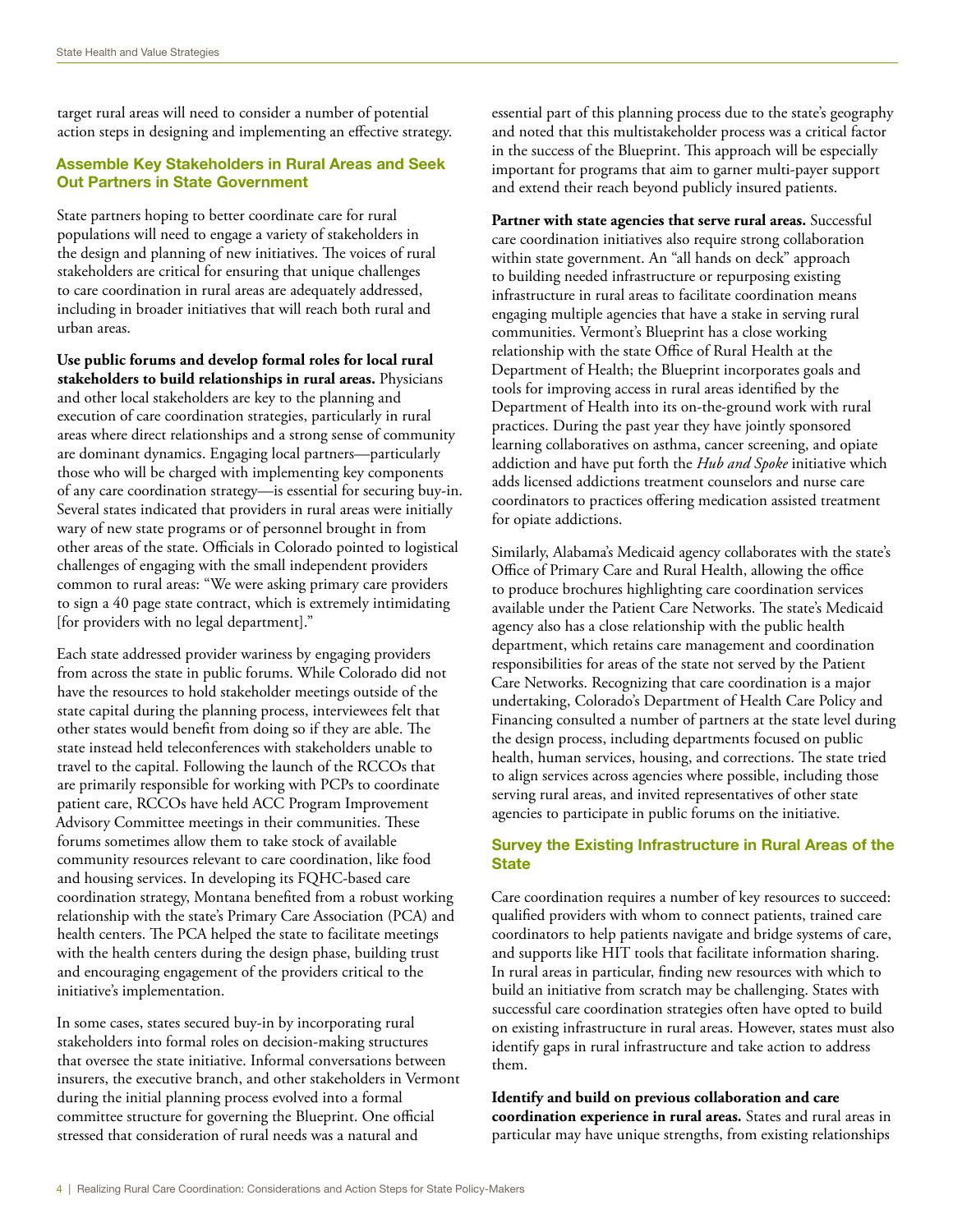target rural areas will need to consider a number of potential action steps in designing and implementing an effective strategy.

### Assemble Key Stakeholders in Rural Areas and Seek Out Partners in State Government

State partners hoping to better coordinate care for rural populations will need to engage a variety of stakeholders in the design and planning of new initiatives. The voices of rural stakeholders are critical for ensuring that unique challenges to care coordination in rural areas are adequately addressed, including in broader initiatives that will reach both rural and urban areas.

**Use public forums and develop formal roles for local rural stakeholders to build relationships in rural areas.** Physicians and other local stakeholders are key to the planning and execution of care coordination strategies, particularly in rural areas where direct relationships and a strong sense of community are dominant dynamics. Engaging local partners—particularly those who will be charged with implementing key components of any care coordination strategy—is essential for securing buy-in. Several states indicated that providers in rural areas were initially wary of new state programs or of personnel brought in from other areas of the state. Officials in Colorado pointed to logistical challenges of engaging with the small independent providers common to rural areas: "We were asking primary care providers to sign a 40 page state contract, which is extremely intimidating [for providers with no legal department]."

Each state addressed provider wariness by engaging providers from across the state in public forums. While Colorado did not have the resources to hold stakeholder meetings outside of the state capital during the planning process, interviewees felt that other states would benefit from doing so if they are able. The state instead held teleconferences with stakeholders unable to travel to the capital. Following the launch of the RCCOs that are primarily responsible for working with PCPs to coordinate patient care, RCCOs have held ACC Program Improvement Advisory Committee meetings in their communities. These forums sometimes allow them to take stock of available community resources relevant to care coordination, like food and housing services. In developing its FQHC-based care coordination strategy, Montana benefited from a robust working relationship with the state's Primary Care Association (PCA) and health centers. The PCA helped the state to facilitate meetings with the health centers during the design phase, building trust and encouraging engagement of the providers critical to the initiative's implementation.

In some cases, states secured buy-in by incorporating rural stakeholders into formal roles on decision-making structures that oversee the state initiative. Informal conversations between insurers, the executive branch, and other stakeholders in Vermont during the initial planning process evolved into a formal committee structure for governing the Blueprint. One official stressed that consideration of rural needs was a natural and

essential part of this planning process due to the state's geography and noted that this multistakeholder process was a critical factor in the success of the Blueprint. This approach will be especially important for programs that aim to garner multi-payer support and extend their reach beyond publicly insured patients.

**Partner with state agencies that serve rural areas.** Successful care coordination initiatives also require strong collaboration within state government. An "all hands on deck" approach to building needed infrastructure or repurposing existing infrastructure in rural areas to facilitate coordination means engaging multiple agencies that have a stake in serving rural communities. Vermont's Blueprint has a close working relationship with the state Office of Rural Health at the Department of Health; the Blueprint incorporates goals and tools for improving access in rural areas identified by the Department of Health into its on-the-ground work with rural practices. During the past year they have jointly sponsored learning collaboratives on asthma, cancer screening, and opiate addiction and have put forth the *Hub and Spoke* initiative which adds licensed addictions treatment counselors and nurse care coordinators to practices offering medication assisted treatment for opiate addictions.

Similarly, Alabama's Medicaid agency collaborates with the state's Office of Primary Care and Rural Health, allowing the office to produce brochures highlighting care coordination services available under the Patient Care Networks. The state's Medicaid agency also has a close relationship with the public health department, which retains care management and coordination responsibilities for areas of the state not served by the Patient Care Networks. Recognizing that care coordination is a major undertaking, Colorado's Department of Health Care Policy and Financing consulted a number of partners at the state level during the design process, including departments focused on public health, human services, housing, and corrections. The state tried to align services across agencies where possible, including those serving rural areas, and invited representatives of other state agencies to participate in public forums on the initiative.

### Survey the Existing Infrastructure in Rural Areas of the **State**

Care coordination requires a number of key resources to succeed: qualified providers with whom to connect patients, trained care coordinators to help patients navigate and bridge systems of care, and supports like HIT tools that facilitate information sharing. In rural areas in particular, finding new resources with which to build an initiative from scratch may be challenging. States with successful care coordination strategies often have opted to build on existing infrastructure in rural areas. However, states must also identify gaps in rural infrastructure and take action to address them.

**Identify and build on previous collaboration and care coordination experience in rural areas***.* States and rural areas in particular may have unique strengths, from existing relationships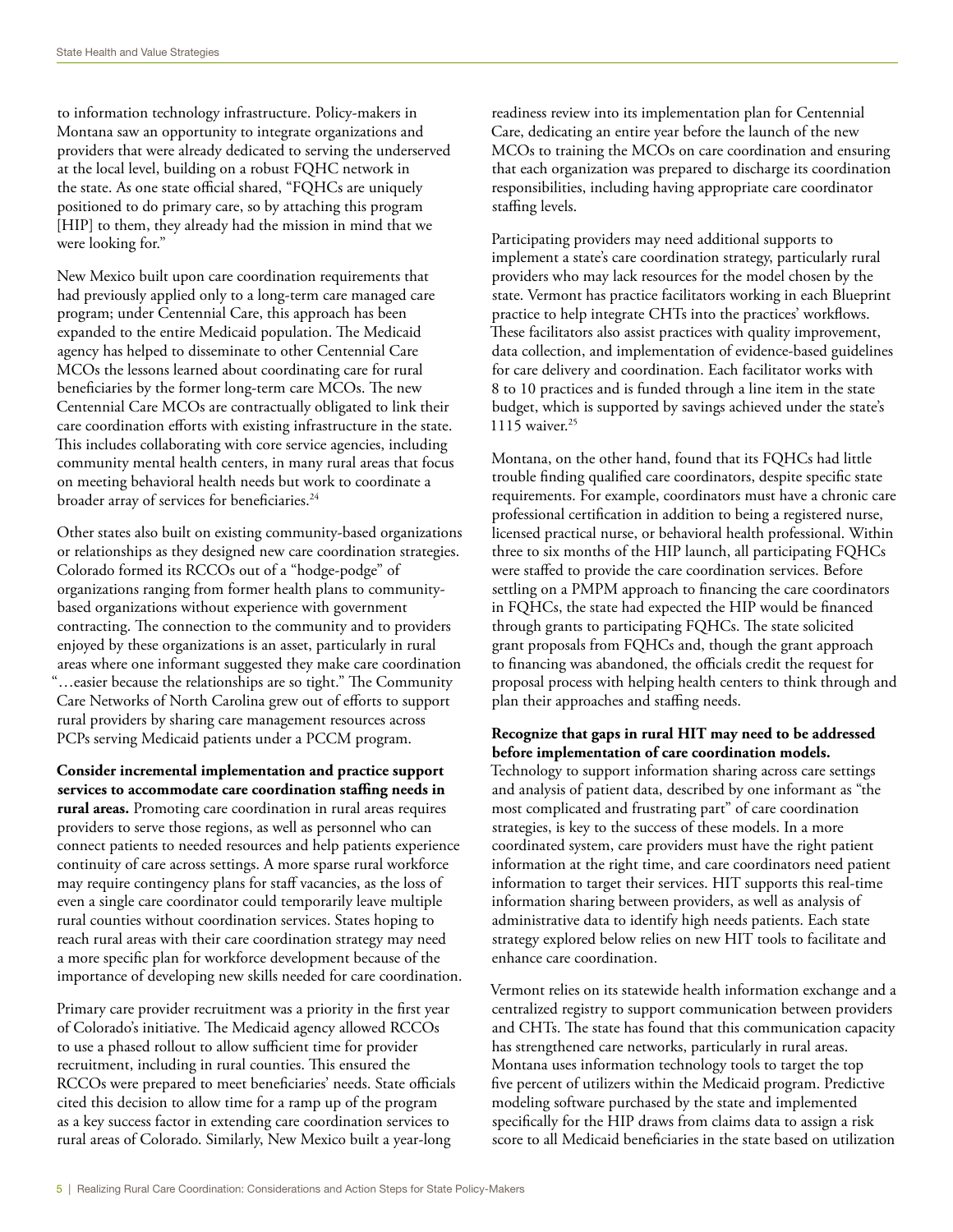to information technology infrastructure. Policy-makers in Montana saw an opportunity to integrate organizations and providers that were already dedicated to serving the underserved at the local level, building on a robust FQHC network in the state. As one state official shared, "FQHCs are uniquely positioned to do primary care, so by attaching this program [HIP] to them, they already had the mission in mind that we were looking for."

New Mexico built upon care coordination requirements that had previously applied only to a long-term care managed care program; under Centennial Care, this approach has been expanded to the entire Medicaid population. The Medicaid agency has helped to disseminate to other Centennial Care MCOs the lessons learned about coordinating care for rural beneficiaries by the former long-term care MCOs. The new Centennial Care MCOs are contractually obligated to link their care coordination efforts with existing infrastructure in the state. This includes collaborating with core service agencies, including community mental health centers, in many rural areas that focus on meeting behavioral health needs but work to coordinate a broader array of services for beneficiaries.<sup>24</sup>

Other states also built on existing community-based organizations or relationships as they designed new care coordination strategies. Colorado formed its RCCOs out of a "hodge-podge" of organizations ranging from former health plans to communitybased organizations without experience with government contracting. The connection to the community and to providers enjoyed by these organizations is an asset, particularly in rural areas where one informant suggested they make care coordination "…easier because the relationships are so tight." The Community Care Networks of North Carolina grew out of efforts to support rural providers by sharing care management resources across PCPs serving Medicaid patients under a PCCM program.

**Consider incremental implementation and practice support services to accommodate care coordination staffing needs in rural areas.** Promoting care coordination in rural areas requires providers to serve those regions, as well as personnel who can connect patients to needed resources and help patients experience continuity of care across settings. A more sparse rural workforce may require contingency plans for staff vacancies, as the loss of even a single care coordinator could temporarily leave multiple rural counties without coordination services. States hoping to reach rural areas with their care coordination strategy may need a more specific plan for workforce development because of the importance of developing new skills needed for care coordination.

Primary care provider recruitment was a priority in the first year of Colorado's initiative. The Medicaid agency allowed RCCOs to use a phased rollout to allow sufficient time for provider recruitment, including in rural counties. This ensured the RCCOs were prepared to meet beneficiaries' needs. State officials cited this decision to allow time for a ramp up of the program as a key success factor in extending care coordination services to rural areas of Colorado. Similarly, New Mexico built a year-long

readiness review into its implementation plan for Centennial Care, dedicating an entire year before the launch of the new MCOs to training the MCOs on care coordination and ensuring that each organization was prepared to discharge its coordination responsibilities, including having appropriate care coordinator staffing levels.

Participating providers may need additional supports to implement a state's care coordination strategy, particularly rural providers who may lack resources for the model chosen by the state. Vermont has practice facilitators working in each Blueprint practice to help integrate CHTs into the practices' workflows. These facilitators also assist practices with quality improvement, data collection, and implementation of evidence-based guidelines for care delivery and coordination. Each facilitator works with 8 to 10 practices and is funded through a line item in the state budget, which is supported by savings achieved under the state's 1115 waiver.25

Montana, on the other hand, found that its FQHCs had little trouble finding qualified care coordinators, despite specific state requirements. For example, coordinators must have a chronic care professional certification in addition to being a registered nurse, licensed practical nurse, or behavioral health professional. Within three to six months of the HIP launch, all participating FQHCs were staffed to provide the care coordination services. Before settling on a PMPM approach to financing the care coordinators in FQHCs, the state had expected the HIP would be financed through grants to participating FQHCs. The state solicited grant proposals from FQHCs and, though the grant approach to financing was abandoned, the officials credit the request for proposal process with helping health centers to think through and plan their approaches and staffing needs.

### **Recognize that gaps in rural HIT may need to be addressed before implementation of care coordination models.**

Technology to support information sharing across care settings and analysis of patient data, described by one informant as "the most complicated and frustrating part" of care coordination strategies, is key to the success of these models. In a more coordinated system, care providers must have the right patient information at the right time, and care coordinators need patient information to target their services. HIT supports this real-time information sharing between providers, as well as analysis of administrative data to identify high needs patients. Each state strategy explored below relies on new HIT tools to facilitate and enhance care coordination.

Vermont relies on its statewide health information exchange and a centralized registry to support communication between providers and CHTs. The state has found that this communication capacity has strengthened care networks, particularly in rural areas. Montana uses information technology tools to target the top five percent of utilizers within the Medicaid program. Predictive modeling software purchased by the state and implemented specifically for the HIP draws from claims data to assign a risk score to all Medicaid beneficiaries in the state based on utilization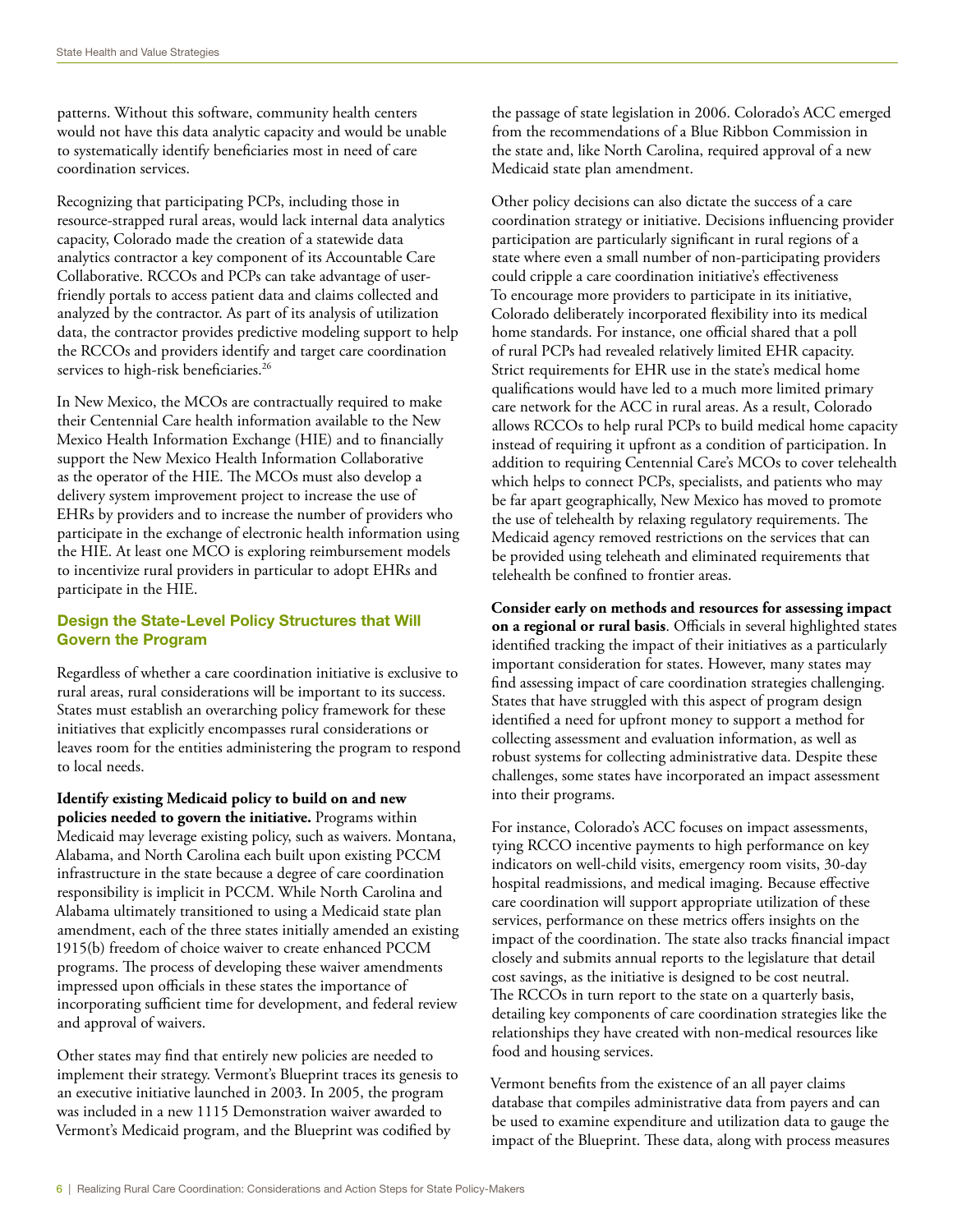patterns. Without this software, community health centers would not have this data analytic capacity and would be unable to systematically identify beneficiaries most in need of care coordination services.

Recognizing that participating PCPs, including those in resource-strapped rural areas, would lack internal data analytics capacity, Colorado made the creation of a statewide data analytics contractor a key component of its Accountable Care Collaborative. RCCOs and PCPs can take advantage of userfriendly portals to access patient data and claims collected and analyzed by the contractor. As part of its analysis of utilization data, the contractor provides predictive modeling support to help the RCCOs and providers identify and target care coordination services to high-risk beneficiaries.<sup>26</sup>

In New Mexico, the MCOs are contractually required to make their Centennial Care health information available to the New Mexico Health Information Exchange (HIE) and to financially support the New Mexico Health Information Collaborative as the operator of the HIE. The MCOs must also develop a delivery system improvement project to increase the use of EHRs by providers and to increase the number of providers who participate in the exchange of electronic health information using the HIE. At least one MCO is exploring reimbursement models to incentivize rural providers in particular to adopt EHRs and participate in the HIE.

#### Design the State-Level Policy Structures that Will Govern the Program

Regardless of whether a care coordination initiative is exclusive to rural areas, rural considerations will be important to its success. States must establish an overarching policy framework for these initiatives that explicitly encompasses rural considerations or leaves room for the entities administering the program to respond to local needs.

**Identify existing Medicaid policy to build on and new policies needed to govern the initiative.** Programs within Medicaid may leverage existing policy, such as waivers. Montana, Alabama, and North Carolina each built upon existing PCCM infrastructure in the state because a degree of care coordination responsibility is implicit in PCCM. While North Carolina and Alabama ultimately transitioned to using a Medicaid state plan amendment, each of the three states initially amended an existing 1915(b) freedom of choice waiver to create enhanced PCCM programs. The process of developing these waiver amendments impressed upon officials in these states the importance of incorporating sufficient time for development, and federal review and approval of waivers.

Other states may find that entirely new policies are needed to implement their strategy. Vermont's Blueprint traces its genesis to an executive initiative launched in 2003. In 2005, the program was included in a new 1115 Demonstration waiver awarded to Vermont's Medicaid program, and the Blueprint was codified by

the passage of state legislation in 2006. Colorado's ACC emerged from the recommendations of a Blue Ribbon Commission in the state and, like North Carolina, required approval of a new Medicaid state plan amendment.

Other policy decisions can also dictate the success of a care coordination strategy or initiative. Decisions influencing provider participation are particularly significant in rural regions of a state where even a small number of non-participating providers could cripple a care coordination initiative's effectiveness To encourage more providers to participate in its initiative, Colorado deliberately incorporated flexibility into its medical home standards. For instance, one official shared that a poll of rural PCPs had revealed relatively limited EHR capacity. Strict requirements for EHR use in the state's medical home qualifications would have led to a much more limited primary care network for the ACC in rural areas. As a result, Colorado allows RCCOs to help rural PCPs to build medical home capacity instead of requiring it upfront as a condition of participation. In addition to requiring Centennial Care's MCOs to cover telehealth which helps to connect PCPs, specialists, and patients who may be far apart geographically, New Mexico has moved to promote the use of telehealth by relaxing regulatory requirements. The Medicaid agency removed restrictions on the services that can be provided using teleheath and eliminated requirements that telehealth be confined to frontier areas.

**Consider early on methods and resources for assessing impact on a regional or rural basis**. Officials in several highlighted states identified tracking the impact of their initiatives as a particularly important consideration for states. However, many states may find assessing impact of care coordination strategies challenging. States that have struggled with this aspect of program design identified a need for upfront money to support a method for collecting assessment and evaluation information, as well as robust systems for collecting administrative data. Despite these challenges, some states have incorporated an impact assessment into their programs.

For instance, Colorado's ACC focuses on impact assessments, tying RCCO incentive payments to high performance on key indicators on well-child visits, emergency room visits, 30-day hospital readmissions, and medical imaging. Because effective care coordination will support appropriate utilization of these services, performance on these metrics offers insights on the impact of the coordination. The state also tracks financial impact closely and submits annual reports to the legislature that detail cost savings, as the initiative is designed to be cost neutral. The RCCOs in turn report to the state on a quarterly basis, detailing key components of care coordination strategies like the relationships they have created with non-medical resources like food and housing services.

Vermont benefits from the existence of an all payer claims database that compiles administrative data from payers and can be used to examine expenditure and utilization data to gauge the impact of the Blueprint. These data, along with process measures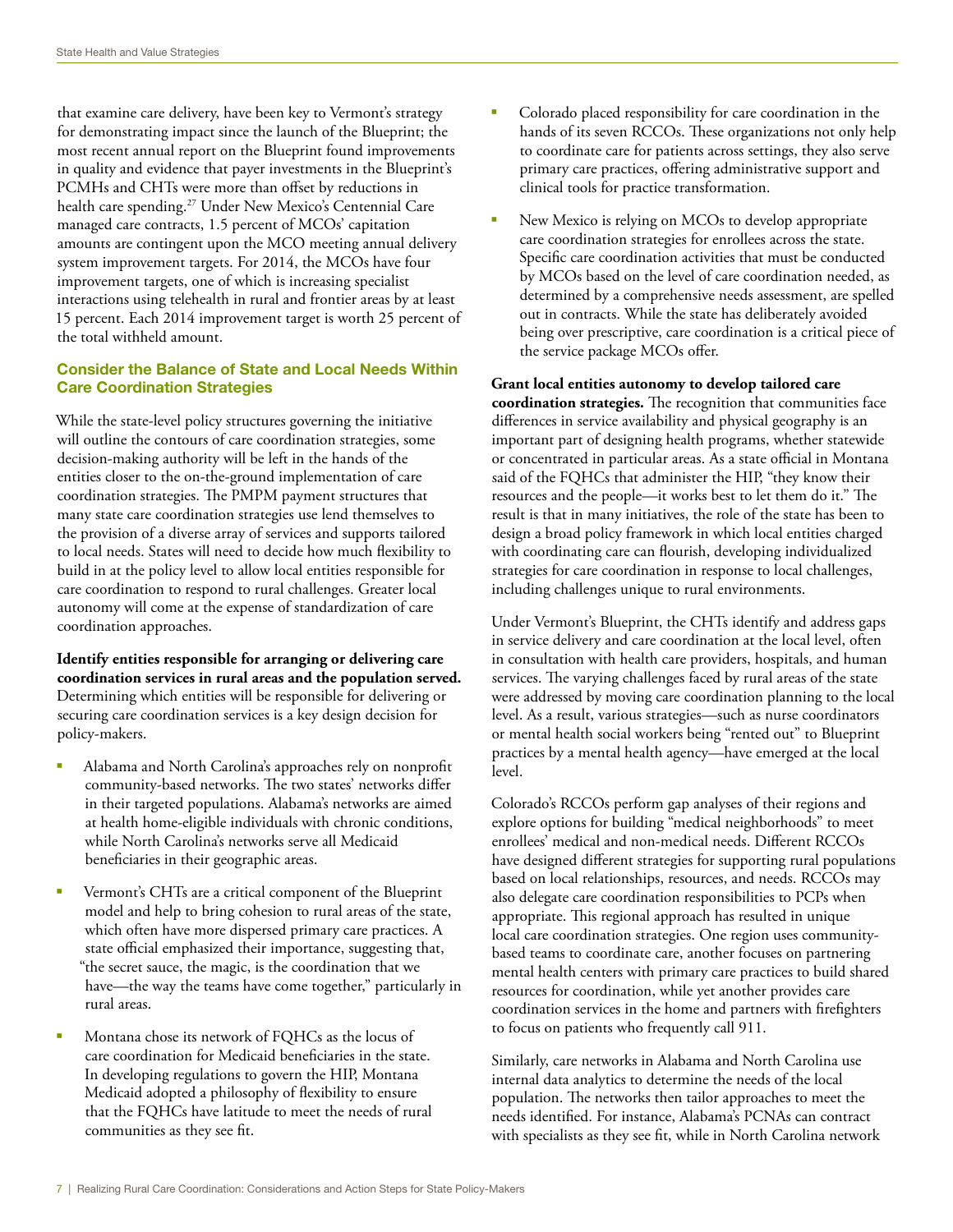that examine care delivery, have been key to Vermont's strategy for demonstrating impact since the launch of the Blueprint; the most recent annual report on the Blueprint found improvements in quality and evidence that payer investments in the Blueprint's PCMHs and CHTs were more than offset by reductions in health care spending.<sup>27</sup> Under New Mexico's Centennial Care managed care contracts, 1.5 percent of MCOs' capitation amounts are contingent upon the MCO meeting annual delivery system improvement targets. For 2014, the MCOs have four improvement targets, one of which is increasing specialist interactions using telehealth in rural and frontier areas by at least 15 percent. Each 2014 improvement target is worth 25 percent of the total withheld amount.

#### Consider the Balance of State and Local Needs Within Care Coordination Strategies

While the state-level policy structures governing the initiative will outline the contours of care coordination strategies, some decision-making authority will be left in the hands of the entities closer to the on-the-ground implementation of care coordination strategies. The PMPM payment structures that many state care coordination strategies use lend themselves to the provision of a diverse array of services and supports tailored to local needs. States will need to decide how much flexibility to build in at the policy level to allow local entities responsible for care coordination to respond to rural challenges. Greater local autonomy will come at the expense of standardization of care coordination approaches.

**Identify entities responsible for arranging or delivering care coordination services in rural areas and the population served.** Determining which entities will be responsible for delivering or securing care coordination services is a key design decision for policy-makers.

- § Alabama and North Carolina's approaches rely on nonprofit community-based networks. The two states' networks differ in their targeted populations. Alabama's networks are aimed at health home-eligible individuals with chronic conditions, while North Carolina's networks serve all Medicaid beneficiaries in their geographic areas.
- Vermont's CHTs are a critical component of the Blueprint model and help to bring cohesion to rural areas of the state, which often have more dispersed primary care practices. A state official emphasized their importance, suggesting that, "the secret sauce, the magic, is the coordination that we have—the way the teams have come together," particularly in rural areas.
- § Montana chose its network of FQHCs as the locus of care coordination for Medicaid beneficiaries in the state. In developing regulations to govern the HIP, Montana Medicaid adopted a philosophy of flexibility to ensure that the FQHCs have latitude to meet the needs of rural communities as they see fit.
- § Colorado placed responsibility for care coordination in the hands of its seven RCCOs. These organizations not only help to coordinate care for patients across settings, they also serve primary care practices, offering administrative support and clinical tools for practice transformation.
- New Mexico is relying on MCOs to develop appropriate care coordination strategies for enrollees across the state. Specific care coordination activities that must be conducted by MCOs based on the level of care coordination needed, as determined by a comprehensive needs assessment, are spelled out in contracts. While the state has deliberately avoided being over prescriptive, care coordination is a critical piece of the service package MCOs offer.

**Grant local entities autonomy to develop tailored care coordination strategies***.* The recognition that communities face differences in service availability and physical geography is an important part of designing health programs, whether statewide or concentrated in particular areas. As a state official in Montana said of the FQHCs that administer the HIP, "they know their resources and the people—it works best to let them do it." The result is that in many initiatives, the role of the state has been to design a broad policy framework in which local entities charged with coordinating care can flourish, developing individualized strategies for care coordination in response to local challenges, including challenges unique to rural environments.

Under Vermont's Blueprint, the CHTs identify and address gaps in service delivery and care coordination at the local level, often in consultation with health care providers, hospitals, and human services. The varying challenges faced by rural areas of the state were addressed by moving care coordination planning to the local level. As a result, various strategies—such as nurse coordinators or mental health social workers being "rented out" to Blueprint practices by a mental health agency—have emerged at the local level.

Colorado's RCCOs perform gap analyses of their regions and explore options for building "medical neighborhoods" to meet enrollees' medical and non-medical needs. Different RCCOs have designed different strategies for supporting rural populations based on local relationships, resources, and needs. RCCOs may also delegate care coordination responsibilities to PCPs when appropriate. This regional approach has resulted in unique local care coordination strategies. One region uses communitybased teams to coordinate care, another focuses on partnering mental health centers with primary care practices to build shared resources for coordination, while yet another provides care coordination services in the home and partners with firefighters to focus on patients who frequently call 911.

Similarly, care networks in Alabama and North Carolina use internal data analytics to determine the needs of the local population. The networks then tailor approaches to meet the needs identified. For instance, Alabama's PCNAs can contract with specialists as they see fit, while in North Carolina network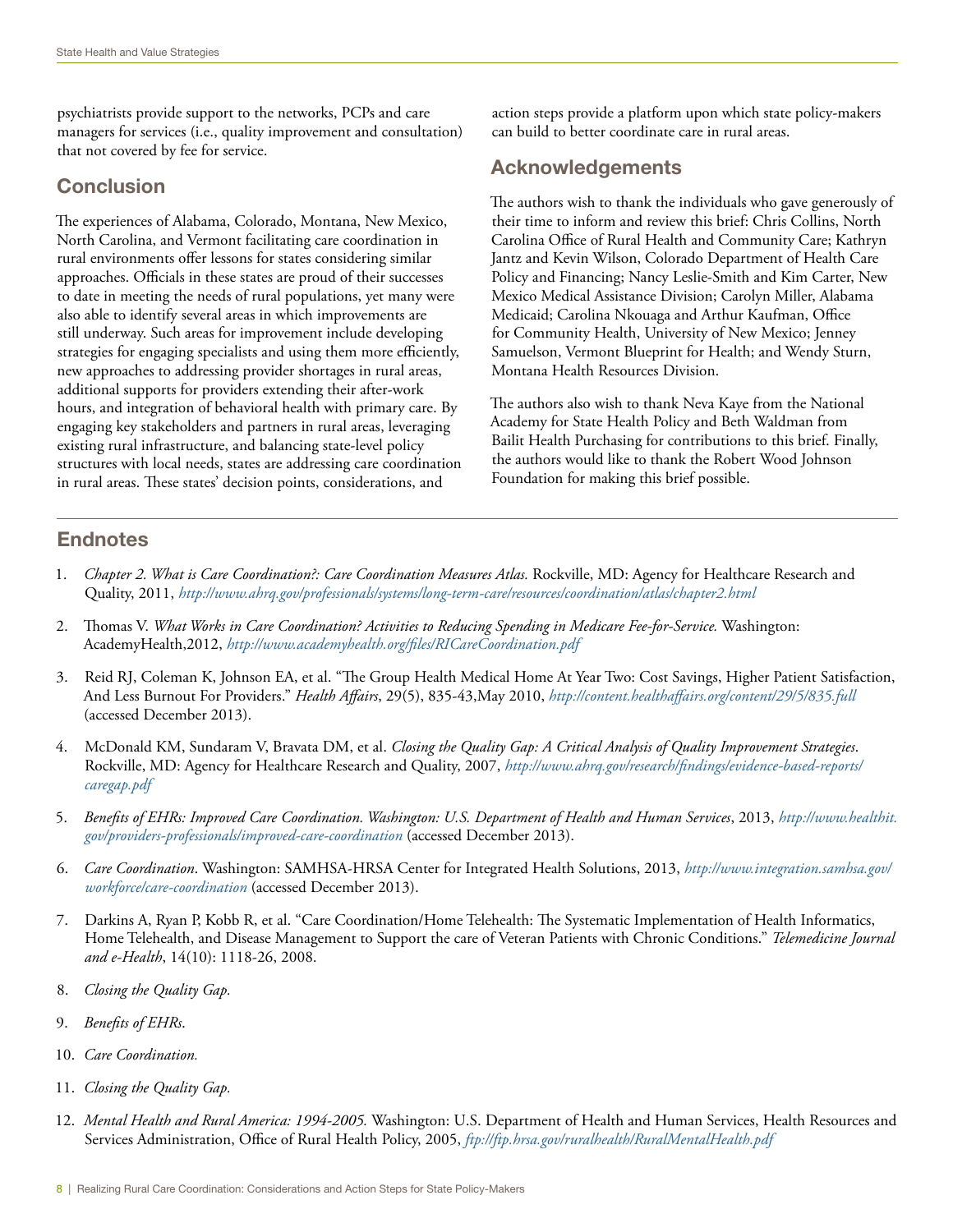psychiatrists provide support to the networks, PCPs and care managers for services (i.e., quality improvement and consultation) that not covered by fee for service.

## **Conclusion**

The experiences of Alabama, Colorado, Montana, New Mexico, North Carolina, and Vermont facilitating care coordination in rural environments offer lessons for states considering similar approaches. Officials in these states are proud of their successes to date in meeting the needs of rural populations, yet many were also able to identify several areas in which improvements are still underway. Such areas for improvement include developing strategies for engaging specialists and using them more efficiently, new approaches to addressing provider shortages in rural areas, additional supports for providers extending their after-work hours, and integration of behavioral health with primary care. By engaging key stakeholders and partners in rural areas, leveraging existing rural infrastructure, and balancing state-level policy structures with local needs, states are addressing care coordination in rural areas. These states' decision points, considerations, and

action steps provide a platform upon which state policy-makers can build to better coordinate care in rural areas.

## Acknowledgements

The authors wish to thank the individuals who gave generously of their time to inform and review this brief: Chris Collins, North Carolina Office of Rural Health and Community Care; Kathryn Jantz and Kevin Wilson, Colorado Department of Health Care Policy and Financing; Nancy Leslie-Smith and Kim Carter, New Mexico Medical Assistance Division; Carolyn Miller, Alabama Medicaid; Carolina Nkouaga and Arthur Kaufman, Office for Community Health, University of New Mexico; Jenney Samuelson, Vermont Blueprint for Health; and Wendy Sturn, Montana Health Resources Division.

The authors also wish to thank Neva Kaye from the National Academy for State Health Policy and Beth Waldman from Bailit Health Purchasing for contributions to this brief. Finally, the authors would like to thank the Robert Wood Johnson Foundation for making this brief possible.

## **Endnotes**

- 1. *Chapter 2. What is Care Coordination?: Care Coordination Measures Atlas.* Rockville, MD: Agency for Healthcare Research and Quality, 2011, *<http://www.ahrq.gov/professionals/systems/long-term-care/resources/coordination/atlas/chapter2.html>*
- 2. Thomas V. *What Works in Care Coordination? Activities to Reducing Spending in Medicare Fee-for-Service.* Washington: AcademyHealth,2012, *<http://www.academyhealth.org/files/RICareCoordination.pdf>*
- 3. Reid RJ, Coleman K, Johnson EA, et al. "The Group Health Medical Home At Year Two: Cost Savings, Higher Patient Satisfaction, And Less Burnout For Providers." *Health Affairs*, 29(5), 835-43,May 2010, *<http://content.healthaffairs.org/content/29/5/835.full>* (accessed December 2013).
- 4. McDonald KM, Sundaram V, Bravata DM, et al. *Closing the Quality Gap: A Critical Analysis of Quality Improvement Strategies*. Rockville, MD: Agency for Healthcare Research and Quality, 2007, *[http://www.ahrq.gov/research/findings/evidence-based-reports/](http://www.ahrq.gov/research/findings/evidence-based-reports/caregap.pdf) [caregap.pdf](http://www.ahrq.gov/research/findings/evidence-based-reports/caregap.pdf)*
- 5. *Benefits of EHRs: Improved Care Coordination. Washington: U.S. Department of Health and Human Services*, 2013, *[http://www.healthit.](http://www.healthit.gov/providers-professionals/improved-care-coordination) [gov/providers-professionals/improved-care-coordination](http://www.healthit.gov/providers-professionals/improved-care-coordination)* (accessed December 2013).
- 6. *Care Coordination*. Washington: SAMHSA-HRSA Center for Integrated Health Solutions, 2013, *[http://www.integration.samhsa.gov/](http://www.integration.samhsa.gov/workforce/care-coordination) [workforce/care-coordination](http://www.integration.samhsa.gov/workforce/care-coordination)* (accessed December 2013).
- 7. Darkins A, Ryan P, Kobb R, et al. "Care Coordination/Home Telehealth: The Systematic Implementation of Health Informatics, Home Telehealth, and Disease Management to Support the care of Veteran Patients with Chronic Conditions." *Telemedicine Journal and e-Health*, 14(10): 1118-26, 2008.
- 8. *Closing the Quality Gap.*
- 9. *Benefits of EHRs*.
- 10. *Care Coordination.*
- 11. *Closing the Quality Gap.*
- 12. *Mental Health and Rural America: 1994-2005.* Washington: U.S. Department of Health and Human Services, Health Resources and Services Administration, Office of Rural Health Policy, 2005, *<ftp://ftp.hrsa.gov/ruralhealth/RuralMentalHealth.pdf>*